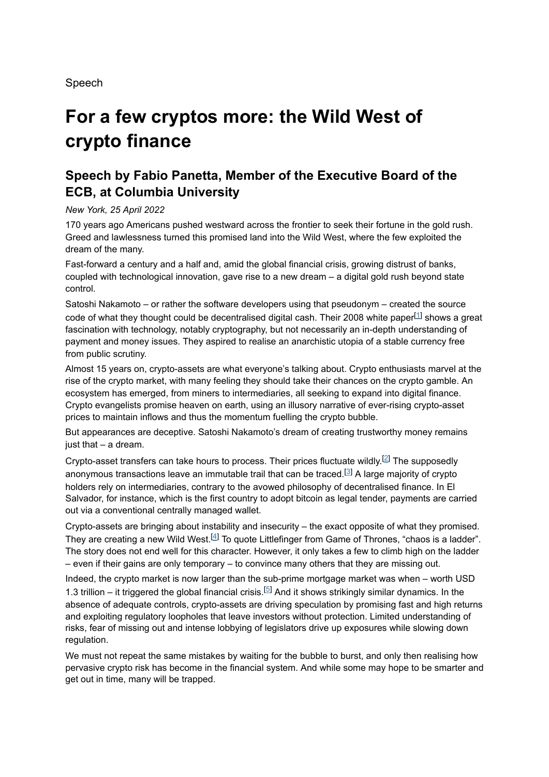Speech

# **For a few cryptos more: the Wild West of crypto finance**

## **Speech by Fabio Panetta, Member of the Executive Board of the ECB, at Columbia University**

#### *New York, 25 April 2022*

170 years ago Americans pushed westward across the frontier to seek their fortune in the gold rush. Greed and lawlessness turned this promised land into the Wild West, where the few exploited the dream of the many.

Fast-forward a century and a half and, amid the global financial crisis, growing distrust of banks, coupled with technological innovation, gave rise to a new dream – a digital gold rush beyond state control.

Satoshi Nakamoto – or rather the software developers using that pseudonym – created the source code of what they thought could be decentralised digital cash. Their 2008 white paper $^{[1]}$  shows a great fascination with technology, notably cryptography, but not necessarily an in-depth understanding of payment and money issues. They aspired to realise an anarchistic utopia of a stable currency free from public scrutiny.

Almost 15 years on, crypto-assets are what everyone's talking about. Crypto enthusiasts marvel at the rise of the crypto market, with many feeling they should take their chances on the crypto gamble. An ecosystem has emerged, from miners to intermediaries, all seeking to expand into digital finance. Crypto evangelists promise heaven on earth, using an illusory narrative of ever-rising crypto-asset prices to maintain inflows and thus the momentum fuelling the crypto bubble.

But appearances are deceptive. Satoshi Nakamoto's dream of creating trustworthy money remains just that – a dream.

Crypto-asset transfers can take hours to process. Their prices fluctuate wildly. $^{[2]}$  The supposedly anonymous transactions leave an immutable trail that can be traced. $^{\text{\tiny{\textregistered]}}}$  A large majority of crypto holders rely on intermediaries, contrary to the avowed philosophy of decentralised finance. In El Salvador, for instance, which is the first country to adopt bitcoin as legal tender, payments are carried out via a conventional centrally managed wallet.

Crypto-assets are bringing about instability and insecurity – the exact opposite of what they promised. They are creating a new Wild West. $^{[4]}$  To quote Littlefinger from Game of Thrones, "chaos is a ladder". The story does not end well for this character. However, it only takes a few to climb high on the ladder – even if their gains are only temporary – to convince many others that they are missing out.

Indeed, the crypto market is now larger than the sub-prime mortgage market was when – worth USD 1.3 trillion – it triggered the global financial crisis.<sup>[5]</sup> And it shows strikingly similar dynamics. In the absence of adequate controls, crypto-assets are driving speculation by promising fast and high returns and exploiting regulatory loopholes that leave investors without protection. Limited understanding of risks, fear of missing out and intense lobbying of legislators drive up exposures while slowing down regulation.

We must not repeat the same mistakes by waiting for the bubble to burst, and only then realising how pervasive crypto risk has become in the financial system. And while some may hope to be smarter and get out in time, many will be trapped.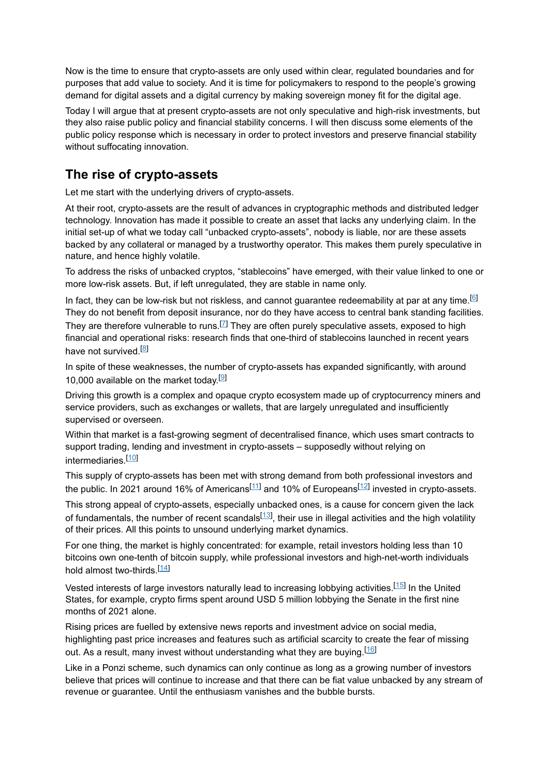Now is the time to ensure that crypto-assets are only used within clear, regulated boundaries and for purposes that add value to society. And it is time for policymakers to respond to the people's growing demand for digital assets and a digital currency by making sovereign money fit for the digital age.

Today I will argue that at present crypto-assets are not only speculative and high-risk investments, but they also raise public policy and financial stability concerns. I will then discuss some elements of the public policy response which is necessary in order to protect investors and preserve financial stability without suffocating innovation.

# **The rise of crypto-assets**

Let me start with the underlying drivers of crypto-assets.

At their root, crypto-assets are the result of advances in cryptographic methods and distributed ledger technology. Innovation has made it possible to create an asset that lacks any underlying claim. In the initial set-up of what we today call "unbacked crypto-assets", nobody is liable, nor are these assets backed by any collateral or managed by a trustworthy operator. This makes them purely speculative in nature, and hence highly volatile.

To address the risks of unbacked cryptos, "stablecoins" have emerged, with their value linked to one or more low-risk assets. But, if left unregulated, they are stable in name only.

In fact, they can be low-risk but not riskless, and cannot guarantee redeemability at par at any time. $\boxdot$ They do not benefit from deposit insurance, nor do they have access to central bank standing facilities.

They are therefore vulnerable to runs. $^{[7]}$  They are often purely speculative assets, exposed to high financial and operational risks: research finds that one-third of stablecoins launched in recent years have not survived.<sup>[<u>8</u>]</sup>

In spite of these weaknesses, the number of crypto-assets has expanded significantly, with around 10,000 available on the market today.  $[9]$ 

Driving this growth is a complex and opaque crypto ecosystem made up of cryptocurrency miners and service providers, such as exchanges or wallets, that are largely unregulated and insufficiently supervised or overseen.

Within that market is a fast-growing segment of decentralised finance, which uses smart contracts to support trading, lending and investment in crypto-assets – supposedly without relying on intermediaries.<sup>[10]</sup>

This supply of crypto-assets has been met with strong demand from both professional investors and the public. In 2021 around 16% of Americans<sup>[11]</sup> and 10% of Europeans<sup>[12]</sup> invested in crypto-assets.

This strong appeal of crypto-assets, especially unbacked ones, is a cause for concern given the lack of fundamentals, the number of recent scandals<sup>[13]</sup>, their use in illegal activities and the high volatility of their prices. All this points to unsound underlying market dynamics.

For one thing, the market is highly concentrated: for example, retail investors holding less than 10 bitcoins own one-tenth of bitcoin supply, while professional investors and high-net-worth individuals hold almost two-thirds.<sup>[14]</sup>

Vested interests of large investors naturally lead to increasing lobbying activities.<sup>[15]</sup> In the United States, for example, crypto firms spent around USD 5 million lobbying the Senate in the first nine months of 2021 alone.

Rising prices are fuelled by extensive news reports and investment advice on social media, highlighting past price increases and features such as artificial scarcity to create the fear of missing out. As a result, many invest without understanding what they are buying. $^{\text{[16]}}$ 

Like in a Ponzi scheme, such dynamics can only continue as long as a growing number of investors believe that prices will continue to increase and that there can be fiat value unbacked by any stream of revenue or guarantee. Until the enthusiasm vanishes and the bubble bursts.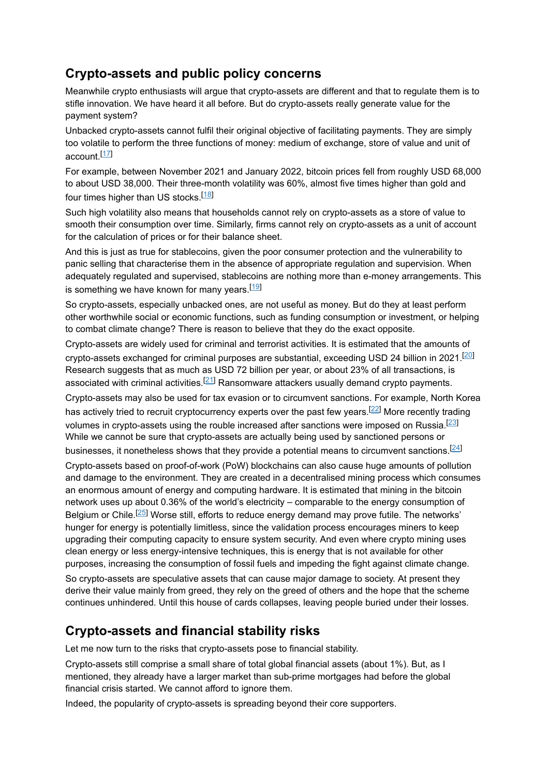#### **Crypto-assets and public policy concerns**

Meanwhile crypto enthusiasts will argue that crypto-assets are different and that to regulate them is to stifle innovation. We have heard it all before. But do crypto-assets really generate value for the payment system?

Unbacked crypto-assets cannot fulfil their original objective of facilitating payments. They are simply too volatile to perform the three functions of money: medium of exchange, store of value and unit of account.<sup>[<u>17</u>]</sup>

For example, between November 2021 and January 2022, bitcoin prices fell from roughly USD 68,000 to about USD 38,000. Their three-month volatility was 60%, almost five times higher than gold and four times higher than US stocks.<sup>[18]</sup>

Such high volatility also means that households cannot rely on crypto-assets as a store of value to smooth their consumption over time. Similarly, firms cannot rely on crypto-assets as a unit of account for the calculation of prices or for their balance sheet.

And this is just as true for stablecoins, given the poor consumer protection and the vulnerability to panic selling that characterise them in the absence of appropriate regulation and supervision. When adequately regulated and supervised, stablecoins are nothing more than e-money arrangements. This is something we have known for many years. $^{\rm [19]}$ 

So crypto-assets, especially unbacked ones, are not useful as money. But do they at least perform other worthwhile social or economic functions, such as funding consumption or investment, or helping to combat climate change? There is reason to believe that they do the exact opposite.

Crypto-assets are widely used for criminal and terrorist activities. It is estimated that the amounts of crypto-assets exchanged for criminal purposes are substantial, exceeding USD 24 billion in 2021. $^{[20]}$ Research suggests that as much as USD 72 billion per year, or about 23% of all transactions, is associated with criminal activities. $^{[21]}$  Ransomware attackers usually demand crypto payments.

Crypto-assets may also be used for tax evasion or to circumvent sanctions. For example, North Korea has actively tried to recruit cryptocurrency experts over the past few years. $^{[22]}$  More recently trading volumes in crypto-assets using the rouble increased after sanctions were imposed on Russia. $^{[23]}$ While we cannot be sure that crypto-assets are actually being used by sanctioned persons or businesses, it nonetheless shows that they provide a potential means to circumvent sanctions. $^{[24]}$ 

Crypto-assets based on proof-of-work (PoW) blockchains can also cause huge amounts of pollution and damage to the environment. They are created in a decentralised mining process which consumes an enormous amount of energy and computing hardware. It is estimated that mining in the bitcoin network uses up about 0.36% of the world's electricity – comparable to the energy consumption of Belgium or Chile.<sup>[25]</sup> Worse still, efforts to reduce energy demand may prove futile. The networks' hunger for energy is potentially limitless, since the validation process encourages miners to keep upgrading their computing capacity to ensure system security. And even where crypto mining uses clean energy or less energy-intensive techniques, this is energy that is not available for other purposes, increasing the consumption of fossil fuels and impeding the fight against climate change.

So crypto-assets are speculative assets that can cause major damage to society. At present they derive their value mainly from greed, they rely on the greed of others and the hope that the scheme continues unhindered. Until this house of cards collapses, leaving people buried under their losses.

### **Crypto-assets and financial stability risks**

Let me now turn to the risks that crypto-assets pose to financial stability.

Crypto-assets still comprise a small share of total global financial assets (about 1%). But, as I mentioned, they already have a larger market than sub-prime mortgages had before the global financial crisis started. We cannot afford to ignore them.

Indeed, the popularity of crypto-assets is spreading beyond their core supporters.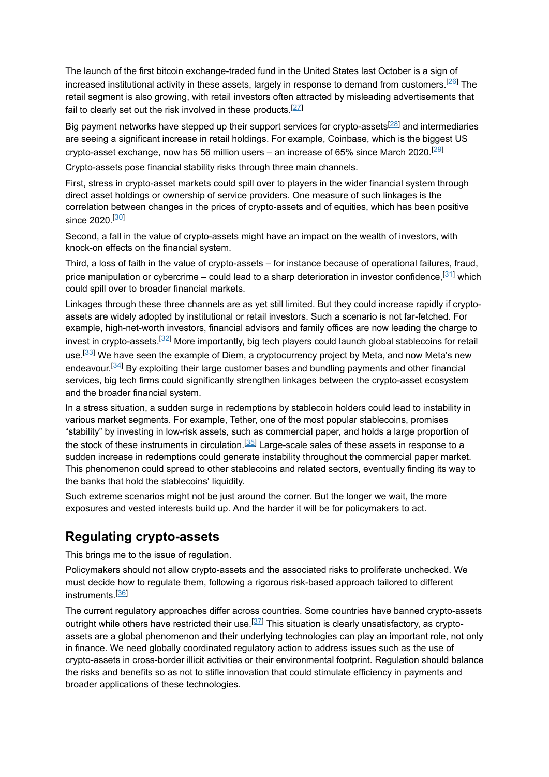The launch of the first bitcoin exchange-traded fund in the United States last October is a sign of increased institutional activity in these assets, largely in response to demand from customers. $^{[26]}$  The retail segment is also growing, with retail investors often attracted by misleading advertisements that fail to clearly set out the risk involved in these products. $^{[27]}$ 

Big payment networks have stepped up their support services for crypto-assets<sup>[28]</sup> and intermediaries are seeing a significant increase in retail holdings. For example, Coinbase, which is the biggest US crypto-asset exchange, now has 56 million users – an increase of 65% since March 2020. $^{[29]}$ 

Crypto-assets pose financial stability risks through three main channels.

First, stress in crypto-asset markets could spill over to players in the wider financial system through direct asset holdings or ownership of service providers. One measure of such linkages is the correlation between changes in the prices of crypto-assets and of equities, which has been positive since 2020.<sup>[<u>30</u>]</sup>

Second, a fall in the value of crypto-assets might have an impact on the wealth of investors, with knock-on effects on the financial system.

Third, a loss of faith in the value of crypto-assets – for instance because of operational failures, fraud, price manipulation or cybercrime – could lead to a sharp deterioration in investor confidence, $^{\left[ 31\right] }$  which could spill over to broader financial markets.

Linkages through these three channels are as yet still limited. But they could increase rapidly if cryptoassets are widely adopted by institutional or retail investors. Such a scenario is not far-fetched. For example, high-net-worth investors, financial advisors and family offices are now leading the charge to invest in crypto-assets. $^{[32]}$  More importantly, big tech players could launch global stablecoins for retail use.<sup>[<u>33</u>] We have seen the example of Diem, a cryptocurrency project by Meta, and now Meta's new</sup> endeavour.<sup>[34]</sup> By exploiting their large customer bases and bundling payments and other financial services, big tech firms could significantly strengthen linkages between the crypto-asset ecosystem and the broader financial system.

In a stress situation, a sudden surge in redemptions by stablecoin holders could lead to instability in various market segments. For example, Tether, one of the most popular stablecoins, promises "stability" by investing in low-risk assets, such as commercial paper, and holds a large proportion of the stock of these instruments in circulation. $^{[35]}$  Large-scale sales of these assets in response to a sudden increase in redemptions could generate instability throughout the commercial paper market. This phenomenon could spread to other stablecoins and related sectors, eventually finding its way to the banks that hold the stablecoins' liquidity.

Such extreme scenarios might not be just around the corner. But the longer we wait, the more exposures and vested interests build up. And the harder it will be for policymakers to act.

### **Regulating crypto-assets**

This brings me to the issue of regulation.

Policymakers should not allow crypto-assets and the associated risks to proliferate unchecked. We must decide how to regulate them, following a rigorous risk-based approach tailored to different instruments.<sup>[36]</sup>

The current regulatory approaches differ across countries. Some countries have banned crypto-assets outright while others have restricted their use.<sup>[37]</sup> This situation is clearly unsatisfactory, as cryptoassets are a global phenomenon and their underlying technologies can play an important role, not only in finance. We need globally coordinated regulatory action to address issues such as the use of crypto-assets in cross-border illicit activities or their environmental footprint. Regulation should balance the risks and benefits so as not to stifle innovation that could stimulate efficiency in payments and broader applications of these technologies.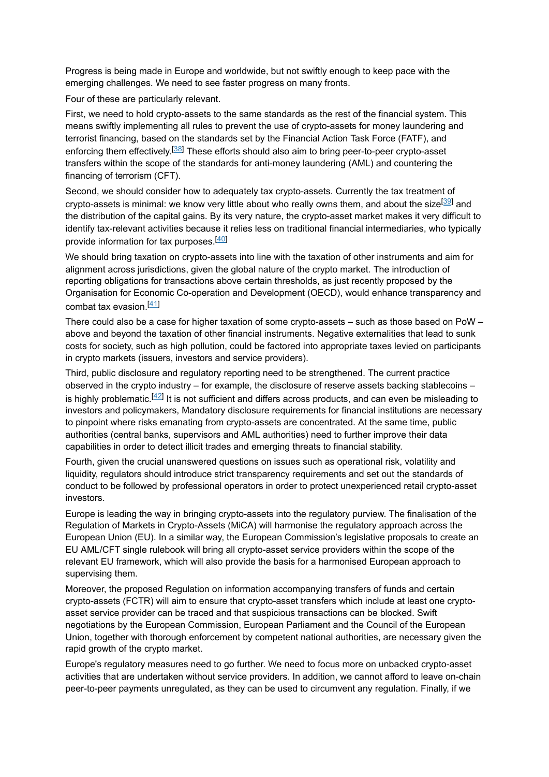Progress is being made in Europe and worldwide, but not swiftly enough to keep pace with the emerging challenges. We need to see faster progress on many fronts.

Four of these are particularly relevant.

First, we need to hold crypto-assets to the same standards as the rest of the financial system. This means swiftly implementing all rules to prevent the use of crypto-assets for money laundering and terrorist financing, based on the standards set by the Financial Action Task Force (FATF), and enforcing them effectively.<sup>[38]</sup> These efforts should also aim to bring peer-to-peer crypto-asset transfers within the scope of the standards for anti-money laundering (AML) and countering the financing of terrorism (CFT).

Second, we should consider how to adequately tax crypto-assets. Currently the tax treatment of crypto-assets is minimal: we know very little about who really owns them, and about the size<sup>[39]</sup> and the distribution of the capital gains. By its very nature, the crypto-asset market makes it very difficult to identify tax-relevant activities because it relies less on traditional financial intermediaries, who typically provide information for tax purposes.<sup>[<u>40</u>]</sup>

We should bring taxation on crypto-assets into line with the taxation of other instruments and aim for alignment across jurisdictions, given the global nature of the crypto market. The introduction of reporting obligations for transactions above certain thresholds, as just recently proposed by the Organisation for Economic Co-operation and Development (OECD), would enhance transparency and combat tax evasion.<sup>[41]</sup>

There could also be a case for higher taxation of some crypto-assets – such as those based on PoW – above and beyond the taxation of other financial instruments. Negative externalities that lead to sunk costs for society, such as high pollution, could be factored into appropriate taxes levied on participants in crypto markets (issuers, investors and service providers).

Third, public disclosure and regulatory reporting need to be strengthened. The current practice observed in the crypto industry – for example, the disclosure of reserve assets backing stablecoins – is highly problematic. $^{[42]}$  It is not sufficient and differs across products, and can even be misleading to investors and policymakers, Mandatory disclosure requirements for financial institutions are necessary to pinpoint where risks emanating from crypto-assets are concentrated. At the same time, public authorities (central banks, supervisors and AML authorities) need to further improve their data capabilities in order to detect illicit trades and emerging threats to financial stability.

Fourth, given the crucial unanswered questions on issues such as operational risk, volatility and liquidity, regulators should introduce strict transparency requirements and set out the standards of conduct to be followed by professional operators in order to protect unexperienced retail crypto-asset investors.

Europe is leading the way in bringing crypto-assets into the regulatory purview. The finalisation of the Regulation of Markets in Crypto-Assets (MiCA) will harmonise the regulatory approach across the European Union (EU). In a similar way, the European Commission's legislative proposals to create an EU AML/CFT single rulebook will bring all crypto-asset service providers within the scope of the relevant EU framework, which will also provide the basis for a harmonised European approach to supervising them.

Moreover, the proposed Regulation on information accompanying transfers of funds and certain crypto-assets (FCTR) will aim to ensure that crypto-asset transfers which include at least one cryptoasset service provider can be traced and that suspicious transactions can be blocked. Swift negotiations by the European Commission, European Parliament and the Council of the European Union, together with thorough enforcement by competent national authorities, are necessary given the rapid growth of the crypto market.

Europe's regulatory measures need to go further. We need to focus more on unbacked crypto-asset activities that are undertaken without service providers. In addition, we cannot afford to leave on-chain peer-to-peer payments unregulated, as they can be used to circumvent any regulation. Finally, if we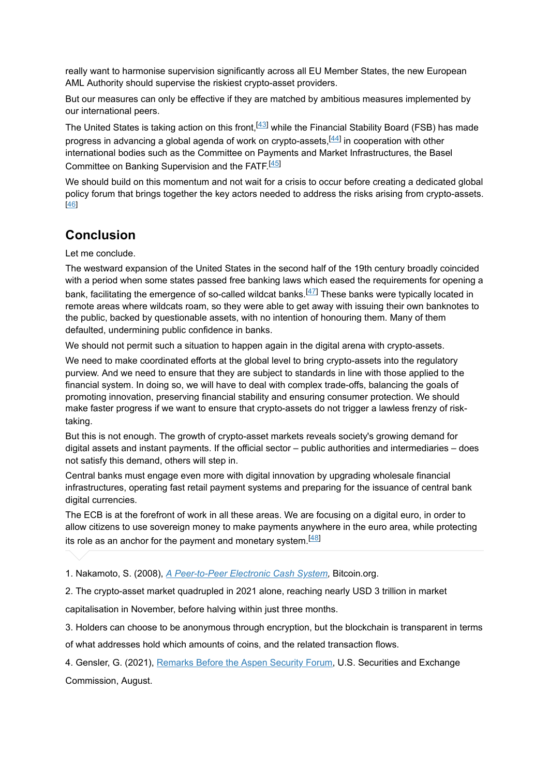really want to harmonise supervision significantly across all EU Member States, the new European AML Authority should supervise the riskiest crypto-asset providers.

But our measures can only be effective if they are matched by ambitious measures implemented by our international peers.

The United States is taking action on this front, $^{[43]}$  while the Financial Stability Board (FSB) has made progress in advancing a global agenda of work on crypto-assets, $^{[44]}$  in cooperation with other international bodies such as the Committee on Payments and Market Infrastructures, the Basel Committee on Banking Supervision and the FATF.<sup>[45]</sup>

We should build on this momentum and not wait for a crisis to occur before creating a dedicated global policy forum that brings together the key actors needed to address the risks arising from crypto-assets. [46]

### **Conclusion**

Let me conclude.

The westward expansion of the United States in the second half of the 19th century broadly coincided with a period when some states passed free banking laws which eased the requirements for opening a bank, facilitating the emergence of so-called wildcat banks.<sup>[47]</sup> These banks were typically located in remote areas where wildcats roam, so they were able to get away with issuing their own banknotes to the public, backed by questionable assets, with no intention of honouring them. Many of them defaulted, undermining public confidence in banks.

We should not permit such a situation to happen again in the digital arena with crypto-assets.

We need to make coordinated efforts at the global level to bring crypto-assets into the regulatory purview. And we need to ensure that they are subject to standards in line with those applied to the financial system. In doing so, we will have to deal with complex trade-offs, balancing the goals of promoting innovation, preserving financial stability and ensuring consumer protection. We should make faster progress if we want to ensure that crypto-assets do not trigger a lawless frenzy of risktaking.

But this is not enough. The growth of crypto-asset markets reveals society's growing demand for digital assets and instant payments. If the official sector – public authorities and intermediaries – does not satisfy this demand, others will step in.

Central banks must engage even more with digital innovation by upgrading wholesale financial infrastructures, operating fast retail payment systems and preparing for the issuance of central bank digital currencies.

The ECB is at the forefront of work in all these areas. We are focusing on a digital euro, in order to allow citizens to use sovereign money to make payments anywhere in the euro area, while protecting its role as an anchor for the payment and monetary system. $^{[48]}$ 

1. Nakamoto, S. (2008), *A [Peer-to-Peer](https://bitcoin.org/bitcoin.pdf) Electronic Cash System*, Bitcoin.org.

2. The crypto-asset market quadrupled in 2021 alone, reaching nearly USD 3 trillion in market

capitalisation in November, before halving within just three months.

3. Holders can choose to be anonymous through encryption, but the blockchain is transparent in terms

of what addresses hold which amounts of coins, and the related transaction flows.

4. Gensler, G. (2021), <u>[Remarks](https://www.sec.gov/news/public-statement/gensler-aspen-security-forum-2021-08-03) Before the Aspen Security Forum</u>, U.S. Securities and Exchange Commission, August.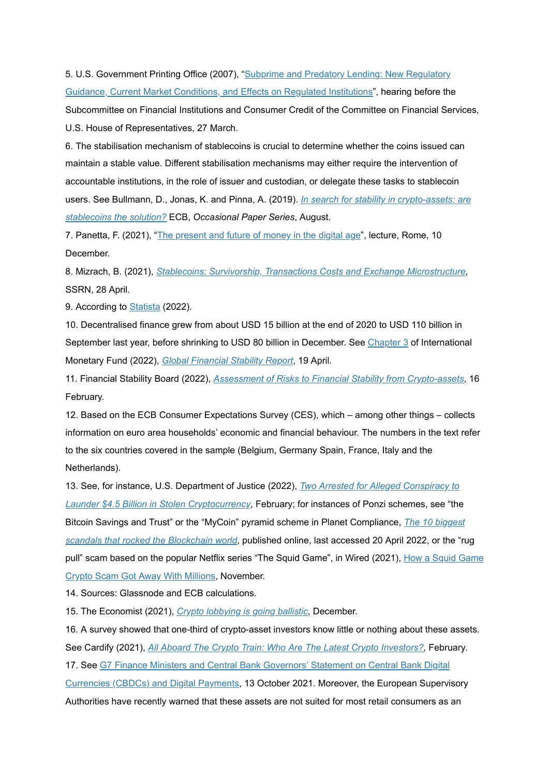5. U.S. [Government](https://www.govinfo.gov/content/pkg/CHRG-110hhrg35410/html/CHRG-110hhrg35410.htm) Printing Office (2007), "Subprime and Predatory Lending: New Regulatory Guidance, Current Market Conditions, and Effects on Regulated Institutions", hearing before the Subcommittee on Financial Institutions and Consumer Credit of the Committee on Financial Services, U.S. House of Representatives, 27 March.

6. The stabilisation mechanism of stablecoins is crucial to determine whether the coins issued can maintain a stable value. Different stabilisation mechanisms may either require the intervention of accountable institutions, in the role of issuer and custodian, or delegate these tasks to stablecoin users. See Bullmann, D., Jonas, K. and Pinna, A. (2019). *In search for stability in [crypto-assets:](https://www.ecb.europa.eu/pub/pdf/scpops/ecb.op230~d57946be3b.en.pdf) are* **stablecoins the solution?** ECB, Occasional Paper Series, August.

7. Panetta, F. (2021), "<u>The [present](https://www.ecb.europa.eu/press/key/date/2021/html/ecb.sp211210~09b6887f8b.en.html) and future of money in the digital age</u>", lecture, Rome, 10 December.

8. Mizrach, B. (2021), , *Stablecoins: Survivorship, Transactions Costs and Exchange [Microstructure](https://deliverypdf.ssrn.com/delivery.php?ID=871071114116011008103066067095010111054025049035042016124006126010114065031005012120101119000061008038050085065069106003017106103082058064063029109001003086008001004006091102121097124005073015015104024092107111011000008003027126070113085002&EXT=pdf&INDEX=TRUE)* SSRN, 28 April.

9. According to <u>[Statista](https://www.statista.com/statistics/863917/number-crypto-coins-tokens/)</u> (2022).

10. Decentralised finance grew from about USD 15 billion at the end of 2020 to USD 110 billion in September last year, before shrinking to USD 80 billion in December. See <u>[Chapter](https://www.elibrary.imf.org/configurable/content/book$002f9798400205293$002fCH003.xml?t:ac=book%24002f9798400205293%24002fCH003.xml&tabs=fulltext%3Fcid%3Dca-com-compd-elib_rotator) 3</u> of International *Monetary Fund (2022), Global [Financial](https://www.elibrary.imf.org/view/book/9798400205293/9798400205293.xml) Stability Report, 19 April.* 

11. Financial Stability Board (2022), Assessment of Risks to Financial Stability from [Crypto-assets](https://www.fsb.org/wp-content/uploads/P160222.pdf), 16 February.

12. Based on the ECB Consumer Expectations Survey (CES), which – among other things – collects information on euro area households' economic and financial behaviour. The numbers in the text refer to the six countries covered in the sample (Belgium, Germany Spain, France, Italy and the Netherlands).

13. See, for instance, U.S. Department of Justice (2022), *Two Arrested for Alleged Conspiracy to* , February; for instances of Ponzi schemes, see "the *Launder \$4.5 Billion in Stolen [Cryptocurrency](https://www.justice.gov/opa/pr/two-arrested-alleged-conspiracy-launder-45-billion-stolen-cryptocurrency)* Bitcoin Savings and Trust" or the "MyCoin" pyramid scheme in Planet [Compliance,](https://www.planetcompliance.com/top-10-scandals-rocked-blockchain-world/) *The 10 biggest scandals that rocked the Blockchain world*, published online, last accessed 20 April 2022, or the "rug pull" scam based on the popular Netflix series "The Squid Game", in Wired (2021), <u>How a Squid Game</u> Crypto Scam Got Away With Millions, [November.](https://www.wired.com/story/squid-game-coin-crypto-scam/)

14. Sources: Glassnode and ECB calculations.

15. The Economist (2021), *Crypto [lobbying](https://www.economist.com/finance-and-economics/crypto-lobbying-is-going-ballistic/21806674) is going ballistic*, December.

16. A survey showed that one-third of crypto-asset investors know little or nothing about these assets. See Cardify (2021), *<u>All Aboard The Crypto Train: Who Are The Latest Crypto [Investors?](https://www.cardify.ai/reports/crypto), February.</u>* 

17. See G7 Finance Ministers and Central Bank [Governors'](https://assets.publishing.service.gov.uk/government/uploads/system/uploads/attachment_data/file/1025234/FINAL_G7_Statement_on_Digital_Payments_13.10.21.pdf) Statement on Central Bank Digital

Currencies (CBDCs) and Digital Payments, 13 October 2021. Moreover, the European Supervisory Authorities have recently warned that these assets are not suited for most retail consumers as an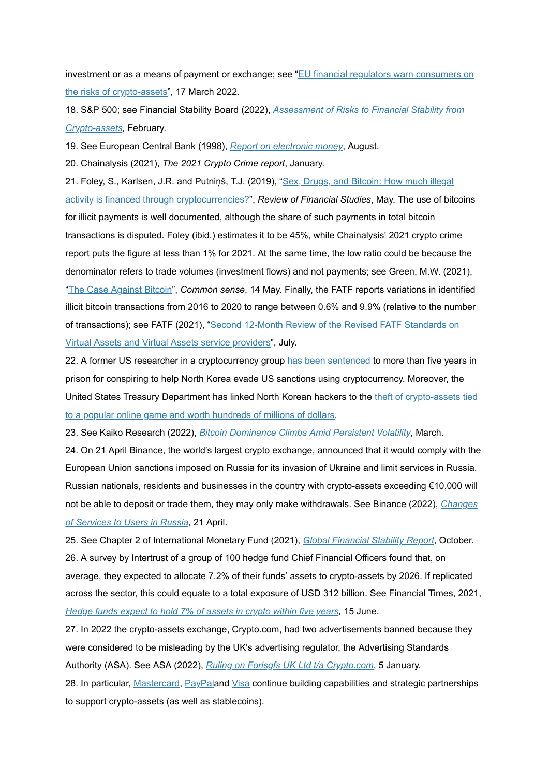investment or as a means of payment or exchange; see "<u>EU financial regulators warn consumers on</u> <u>the risks of [crypto-assets](https://www.eba.europa.eu/sites/default/documents/files/document_library/Publications/Warnings/2022/1028326/ESAs%20warning%20to%20consumers%20on%20the%20risks%20of%20crypto-assets.pdf)</u>", 17 March 2022.

18. S&P 500; see Financial Stability Board (2022), *Assessment of Risks to Financial Stability from* **[Crypto-assets](https://www.fsb.org/wp-content/uploads/P160222.pdf)**, February.

19. See European Central Bank (1998), Report on [electronic](https://www.ecb.europa.eu/pub/pdf/other/emoneyen.pdf) money, August.

20. Chainalysis (2021), *The 2021 Crypto Crime report*, January.

21. Foley, S., Karlsen, J.R. and Putniņš, T.J. (2019), "<u>Sex, Drugs, and Bitcoin: How much illegal</u> <u>activity is financed through [cryptocurrencies?](https://researchers.mq.edu.au/en/publications/sex-drugs-and-bitcoin-how-much-illegal-activity-is-financed-throu)</u>", *Review of Financial Studies*, May. The use of bitcoins for illicit payments is well documented, although the share of such payments in total bitcoin transactions is disputed. Foley (ibid.) estimates it to be 45%, while Chainalysis' 2021 crypto crime report puts the figure at less than 1% for 2021. At the same time, the low ratio could be because the denominator refers to trade volumes (investment flows) and not payments; see Green, M.W. (2021), <u>"The Case [Against](https://bariweiss.substack.com/p/the-case-against-bitcoin) Bitcoin</u>", *Common sense*, 14 May. Finally, the FATF reports variations in identified illicit bitcoin transactions from 2016 to 2020 to range between 0.6% and 9.9% (relative to the number of [transactions\);](https://www.fatf-gafi.org/media/fatf/documents/recommendations/Second-12-Month-Review-Revised-FATF-Standards-Virtual-Assets-VASPS.pdf.) see FATF (2021), "<u>Second 12-Month Review of the Revised FATF Standards on</u> Virtual Assets and Virtual Assets service providers", July.

22. A former US researcher in a cryptocurrency group <u>has been [sentenced](https://www.bbc.com/news/business-61090064)</u> to more than five years in prison for conspiring to help North Korea evade US sanctions using cryptocurrency. Moreover, the United States Treasury Department has linked North Korean hackers to the theft of [crypto-assets](https://www.reuters.com/technology/us-ties-north-korean-hacker-group-lazarus-huge-cryptocurrency-theft-2022-04-14/) tied to a popular online game and worth hundreds of millions of dollars.

23. See Kaiko Research (2022), <u>Bitcoin [Dominance](https://blog.kaiko.com/bitcoin-dominance-climbs-amid-persistent-volatility-7c6c13827f54) Climbs Amid Persistent Volatility,</u> March.

24. On 21 April Binance, the world's largest crypto exchange, announced that it would comply with the European Union sanctions imposed on Russia for its invasion of Ukraine and limit services in Russia. Russian nationals, residents and businesses in the country with crypto-assets exceeding €10,000 will not be able to deposit or trade them, they may only make [withdrawals.](https://www.binance.com/en/support/announcement/4887e569afdf4b1e89e024371d3a49b9) See Binance (2022), *Changes* , 21 April. *of Services to Users in Russia*

25. See Chapter 2 of International Monetary Fund (2021), Global [Financial](https://www.imf.org/en/Publications/GFSR/Issues/2021/10/12/global-financial-stability-report-october-2021) Stability Report, October. 26. A survey by Intertrust of a group of 100 hedge fund Chief Financial Officers found that, on average, they expected to allocate 7.2% of their funds' assets to crypto-assets by 2026. If replicated across the sector, this could equate to a total exposure of USD 312 billion. See Financial Times, 2021, *[Hedge](https://www.ft.com/content/4f8044bf-8f0f-46b4-9fb7-6d0eba723017) funds expect to hold 7% of assets in crypto within five years,* 15 June.

27. In 2022 the crypto-assets exchange, Crypto.com, had two advertisements banned because they were considered to be misleading by the UK's advertising regulator, the Advertising Standards Authority (ASA). See ASA (2022), *Ruling on Forisgfs UK Ltd t/a Cr<u>ypto.com</u>, 5 January.* 

28. In particular, <u>[Mastercard](https://www.mastercard.com/news/perspectives/2021/why-mastercard-is-bringing-crypto-onto-our-network/), [PayPal](https://www.paypal.com/us/webapps/mpp/crypto)</u>and <u>[Visa](https://usa.visa.com/solutions/crypto.html)</u> continue building capabilities and strategic partnerships to support crypto-assets (as well as stablecoins).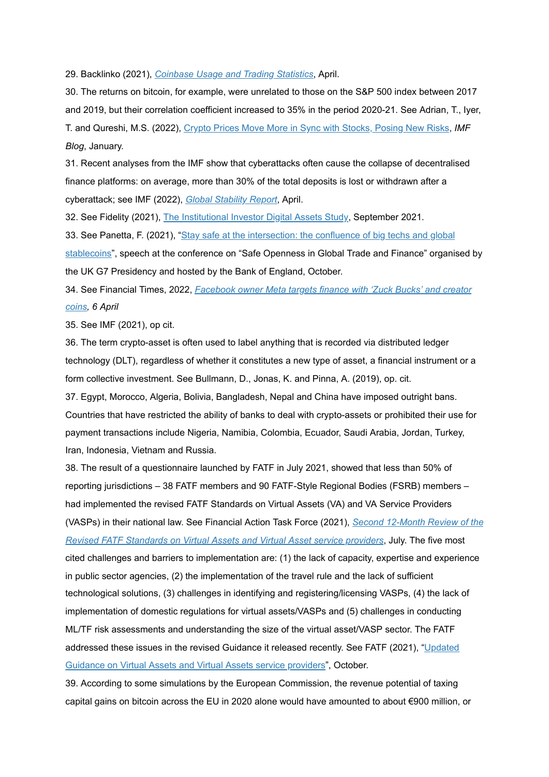29. Backlinko (2021), *[Coinbase](https://backlinko.com/coinbase-users) Usage and Trading Statistics*, April.

30. The returns on bitcoin, for example, were unrelated to those on the S&P 500 index between 2017 and 2019, but their correlation coefficient increased to 35% in the period 2020-21. See Adrian, T., Iyer, T. and Qureshi, M.S. (2022), *Crypto Prices Move More in Sync with [Stocks,](https://blogs.imf.org/2022/01/11/crypto-prices-move-more-in-sync-with-stocks-posing-new-risks/) Posing New Risks, IMF Blog*, January.

31. Recent analyses from the IMF show that cyberattacks often cause the collapse of decentralised finance platforms: on average, more than 30% of the total deposits is lost or withdrawn after a cyberattack; see IMF (2022), *Global [Stability](https://www.imf.org/en/Publications/GFSR/Issues/2022/04/19/global-financial-stability-report-april-2022) Report*, April.

32. See Fidelity (2021), <u>The [Institutional](https://www.fidelitydigitalassets.com/bin-public/060_www_fidelity_com/documents/FDAS/2021-digital-asset-study.pdf) Investor Digital Assets Study</u>, September 2021.

33. See Panetta, F. (2021), "<u>Stay safe at the [intersection:](https://www.ecb.europa.eu/press/key/date/2021/html/ecb.sp211008~3c37b106cf.en.html) the confluence of big techs and global</u> <u>stablecoins</u>", speech at the conference on "Safe Openness in Global Trade and Finance" organised by the UK G7 Presidency and hosted by the Bank of England, October.

34. See Financial Times, 2022, *[Facebook](https://www.ft.com/content/50fbe9ba-32c8-4caf-a34e-234031019371) owner Meta targets finance with 'Zuck Bucks' and creator , 6 April coins*

35. See IMF (2021), op cit.

36. The term crypto-asset is often used to label anything that is recorded via distributed ledger technology (DLT), regardless of whether it constitutes a new type of asset, a financial instrument or a form collective investment. See Bullmann, D., Jonas, K. and Pinna, A. (2019), op. cit.

37. Egypt, Morocco, Algeria, Bolivia, Bangladesh, Nepal and China have imposed outright bans. Countries that have restricted the ability of banks to deal with crypto-assets or prohibited their use for payment transactions include Nigeria, Namibia, Colombia, Ecuador, Saudi Arabia, Jordan, Turkey, Iran, Indonesia, Vietnam and Russia.

38. The result of a questionnaire launched by FATF in July 2021, showed that less than 50% of reporting jurisdictions – 38 FATF members and 90 FATF-Style Regional Bodies (FSRB) members – had implemented the revised FATF Standards on Virtual Assets (VA) and VA Service Providers (VASPs) in their national law. See Financial Action Task Force (2021), *Second 12-Month Review of the* , July. The five most *Revised FATF [Standards](https://www.fatf-gafi.org/media/fatf/documents/recommendations/Second-12-Month-Review-Revised-FATF-Standards-Virtual-Assets-VASPS.pdf) on Virtual Assets and Virtual Asset service providers* cited challenges and barriers to implementation are: (1) the lack of capacity, expertise and experience in public sector agencies, (2) the implementation of the travel rule and the lack of sufficient technological solutions, (3) challenges in identifying and registering/licensing VASPs, (4) the lack of implementation of domestic regulations for virtual assets/VASPs and (5) challenges in conducting ML/TF risk assessments and understanding the size of the virtual asset/VASP sector. The FATF [addressed](https://www.fatf-gafi.org/media/fatf/documents/recommendations/Updated-Guidance-VA-VASP.pdf) these issues in the revised Guidance it released recently. See FATF (2021), "<u>Updated</u> Guidance on Virtual Assets and Virtual Assets service providers", October.

39. According to some simulations by the European Commission, the revenue potential of taxing capital gains on bitcoin across the EU in 2020 alone would have amounted to about €900 million, or